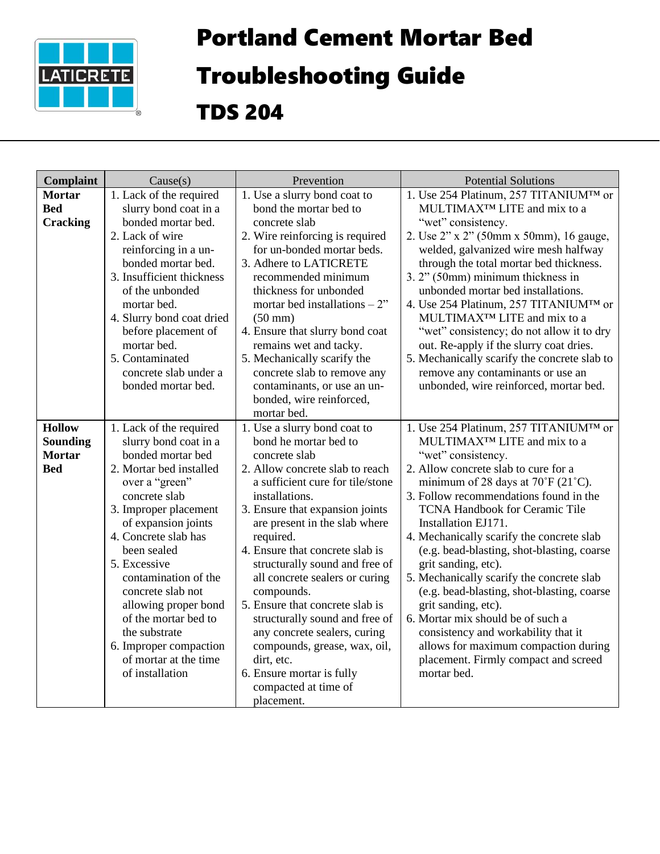

## Portland Cement Mortar Bed

## Troubleshooting Guide

TDS 204

| Complaint       | Cause(s)                                    | Prevention                                                    | <b>Potential Solutions</b>                                                      |
|-----------------|---------------------------------------------|---------------------------------------------------------------|---------------------------------------------------------------------------------|
| <b>Mortar</b>   | 1. Lack of the required                     | 1. Use a slurry bond coat to                                  | 1. Use 254 Platinum, 257 TITANIUM™ or                                           |
| <b>Bed</b>      | slurry bond coat in a                       | bond the mortar bed to                                        | MULTIMAX <sup>™</sup> LITE and mix to a                                         |
| <b>Cracking</b> | bonded mortar bed.<br>2. Lack of wire       | concrete slab                                                 | "wet" consistency.                                                              |
|                 | reinforcing in a un-                        | 2. Wire reinforcing is required<br>for un-bonded mortar beds. | 2. Use 2" x 2" (50mm x 50mm), 16 gauge,<br>welded, galvanized wire mesh halfway |
|                 | bonded mortar bed.                          | 3. Adhere to LATICRETE                                        | through the total mortar bed thickness.                                         |
|                 | 3. Insufficient thickness                   | recommended minimum                                           | 3. 2" (50mm) minimum thickness in                                               |
|                 | of the unbonded                             | thickness for unbonded                                        | unbonded mortar bed installations.                                              |
|                 | mortar bed.                                 | mortar bed installations $-2$ "                               | 4. Use 254 Platinum, 257 TITANIUM <sup>TM</sup> or                              |
|                 | 4. Slurry bond coat dried                   | $(50 \text{ mm})$                                             | MULTIMAX <sup>™</sup> LITE and mix to a                                         |
|                 | before placement of                         | 4. Ensure that slurry bond coat                               | "wet" consistency; do not allow it to dry                                       |
|                 | mortar bed.                                 | remains wet and tacky.                                        | out. Re-apply if the slurry coat dries.                                         |
|                 | 5. Contaminated                             | 5. Mechanically scarify the                                   | 5. Mechanically scarify the concrete slab to                                    |
|                 | concrete slab under a<br>bonded mortar bed. | concrete slab to remove any<br>contaminants, or use an un-    | remove any contaminants or use an<br>unbonded, wire reinforced, mortar bed.     |
|                 |                                             | bonded, wire reinforced,                                      |                                                                                 |
|                 |                                             | mortar bed.                                                   |                                                                                 |
| <b>Hollow</b>   | 1. Lack of the required                     | 1. Use a slurry bond coat to                                  | 1. Use 254 Platinum, 257 TITANIUM™ or                                           |
| <b>Sounding</b> | slurry bond coat in a                       | bond he mortar bed to                                         | MULTIMAX <sup>™</sup> LITE and mix to a                                         |
| <b>Mortar</b>   | bonded mortar bed                           | concrete slab                                                 | "wet" consistency.                                                              |
| <b>Bed</b>      | 2. Mortar bed installed                     | 2. Allow concrete slab to reach                               | 2. Allow concrete slab to cure for a                                            |
|                 | over a "green"                              | a sufficient cure for tile/stone                              | minimum of 28 days at $70^{\circ}$ F (21 $^{\circ}$ C).                         |
|                 | concrete slab                               | installations.                                                | 3. Follow recommendations found in the                                          |
|                 | 3. Improper placement                       | 3. Ensure that expansion joints                               | <b>TCNA Handbook for Ceramic Tile</b>                                           |
|                 | of expansion joints<br>4. Concrete slab has | are present in the slab where<br>required.                    | Installation EJ171.<br>4. Mechanically scarify the concrete slab                |
|                 | been sealed                                 | 4. Ensure that concrete slab is                               | (e.g. bead-blasting, shot-blasting, coarse                                      |
|                 | 5. Excessive                                | structurally sound and free of                                | grit sanding, etc).                                                             |
|                 | contamination of the                        | all concrete sealers or curing                                | 5. Mechanically scarify the concrete slab                                       |
|                 | concrete slab not                           | compounds.                                                    | (e.g. bead-blasting, shot-blasting, coarse                                      |
|                 | allowing proper bond                        | 5. Ensure that concrete slab is                               | grit sanding, etc).                                                             |
|                 | of the mortar bed to                        | structurally sound and free of                                | 6. Mortar mix should be of such a                                               |
|                 | the substrate                               | any concrete sealers, curing                                  | consistency and workability that it                                             |
|                 | 6. Improper compaction                      | compounds, grease, wax, oil,                                  | allows for maximum compaction during                                            |
|                 | of mortar at the time<br>of installation    | dirt, etc.<br>6. Ensure mortar is fully                       | placement. Firmly compact and screed<br>mortar bed.                             |
|                 |                                             | compacted at time of                                          |                                                                                 |
|                 |                                             | placement.                                                    |                                                                                 |